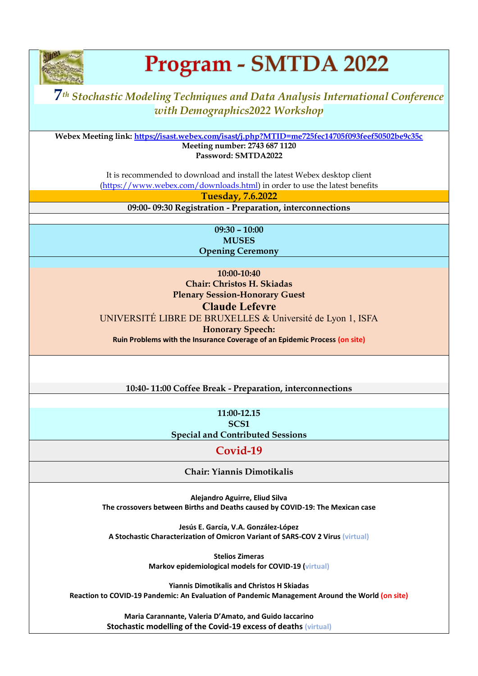

# Program - SMTDA 2022

# **7***th Stochastic Modeling Techniques and Data Analysis International Conference with Demographics2022 Workshop*

**Webex Meeting link:<https://isast.webex.com/isast/j.php?MTID=me725fec14705f093feef50502be9c35c> Meeting number: 2743 687 1120 Password: SMTDA2022**

> It is recommended to download and install the latest Webex desktop client [\(https://www.webex.com/downloads.html\)](https://www.webex.com/downloads.html) in order to use the latest benefits

> > **Tuesday, 7.6.2022**

**09:00- 09:30 Registration - Preparation, interconnections**

**09:30 – 10:00 MUSES Opening Ceremony**

**10:00-10:40 Chair: Christos H. Skiadas Plenary Session-Honorary Guest**

#### **Claude Lefevre**

UNIVERSITÉ LIBRE DE BRUXELLES & Université de Lyon 1, ISFA

**Honorary Speech:** 

**Ruin Problems with the Insurance Coverage of an Epidemic Process (on site)**

**10:40- 11:00 Coffee Break - Preparation, interconnections**

**11:00-12.15 SCS1 Special and Contributed Sessions**

## **Covid-19**

**Chair: Yiannis Dimotikalis**

**Alejandro Aguirre, Eliud Silva The crossovers between Births and Deaths caused by COVID-19: The Mexican case**

**Jesús E. García, V.A. González-López A Stochastic Characterization of Omicron Variant of SARS-COV 2 Virus (virtual)**

> **Stelios Zimeras Markov epidemiological models for COVID-19 (virtual)**

**Yiannis Dimotikalis and Christos H Skiadas Reaction to COVID-19 Pandemic: An Evaluation of Pandemic Management Around the World (on site)**

> **Maria Carannante, Valeria D'Amato, and Guido Iaccarino Stochastic modelling of the Covid-19 excess of deaths (virtual)**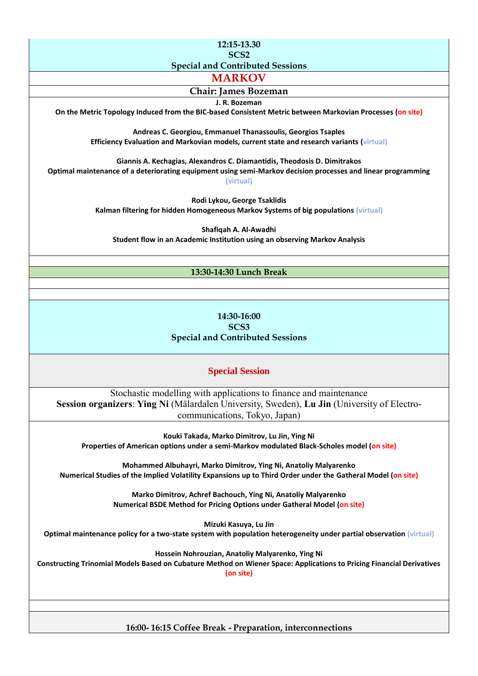**12:15-13.30 SCS2** 

**Special and Contributed Sessions**

**MARKOV**

#### **Chair: James Bozeman**

**J. R. Bozeman**

**On the Metric Topology Induced from the BIC-based Consistent Metric between Markovian Processes (on site)**

**Andreas C. Georgiou, Emmanuel Thanassoulis, Georgios Tsaples Efficiency Evaluation and Markovian models, current state and research variants (virtual)**

**Giannis A. Kechagias, Alexandros C. Diamantidis, Theodosis D. Dimitrakos Optimal maintenance of a deteriorating equipment using semi-Markov decision processes and linear programming (virtual)**

> **Rodi Lykou, George Tsaklidis Kalman filtering for hidden Homogeneous Markov Systems of big populations (virtual)**

**Shafiqah A. Al-Awadhi Student flow in an Academic Institution using an observing Markov Analysis**

#### **13:30-14:30 Lunch Break**

#### **14:30-16:00 SCS3 Special and Contributed Sessions**

#### **Special Session**

Stochastic modelling with applications to finance and maintenance **Session organizers**: **Ying Ni** (Mälardalen University, Sweden), **Lu Jin** (University of Electrocommunications, Tokyo, Japan)

**Kouki Takada, Marko Dimitrov, Lu Jin, Ying Ni Properties of American options under a semi-Markov modulated Black-Scholes model (on site)**

**Mohammed Albuhayri, Marko Dimitrov, Ying Ni, Anatoliy Malyarenko Numerical Studies of the Implied Volatility Expansions up to Third Order under the Gatheral Model (on site)**

> **Marko Dimitrov, Achref Bachouch, Ying Ni, Anatoliy Malyarenko Numerical BSDE Method for Pricing Options under Gatheral Model (on site)**

> > **Mizuki Kasuya, Lu Jin**

**Optimal maintenance policy for a two-state system with population heterogeneity under partial observation (virtual)**

**Hossein Nohrouzian, Anatoliy Malyarenko, Ying Ni**

**Constructing Trinomial Models Based on Cubature Method on Wiener Space: Applications to Pricing Financial Derivatives**

**(on site)**

**16:00- 16:15 Coffee Break - Preparation, interconnections**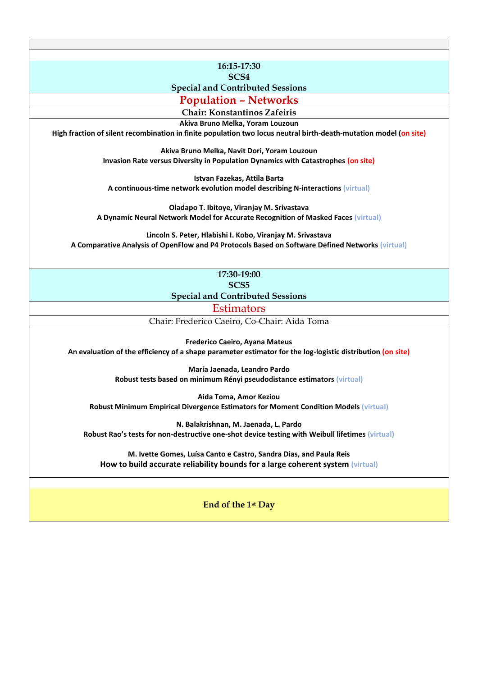**16:15-17:30**

**SCS4** 

#### **Special and Contributed Sessions**

**Population – Networks**

**Chair: Konstantinos Zafeiris**

**Akiva Bruno Melka, Yoram Louzoun**

**High fraction of silent recombination in finite population two locus neutral birth-death-mutation model (on site)**

**Akiva Bruno Melka, Navit Dori, Yoram Louzoun Invasion Rate versus Diversity in Population Dynamics with Catastrophes (on site)**

**Istvan Fazekas, Attila Barta A continuous-time network evolution model describing N-interactions (virtual)**

**Oladapo T. Ibitoye, Viranjay M. Srivastava A Dynamic Neural Network Model for Accurate Recognition of Masked Faces (virtual)**

**Lincoln S. Peter, Hlabishi I. Kobo, Viranjay M. Srivastava A Comparative Analysis of OpenFlow and P4 Protocols Based on Software Defined Networks (virtual)**

> **17:30-19:00 SCS5 Special and Contributed Sessions**

> > **Estimators**

Chair: Frederico Caeiro, Co-Chair: Aida Toma

**Frederico Caeiro, Ayana Mateus An evaluation of the efficiency of a shape parameter estimator for the log-logistic distribution (on site)**

> **María Jaenada, Leandro Pardo Robust tests based on minimum Rényi pseudodistance estimators (virtual)**

**Aida Toma, Amor Keziou Robust Minimum Empirical Divergence Estimators for Moment Condition Models (virtual)**

**N. Balakrishnan, M. Jaenada, L. Pardo Robust Rao's tests for non-destructive one-shot device testing with Weibull lifetimes (virtual)**

**M. Ivette Gomes, Luísa Canto e Castro, Sandra Dias, and Paula Reis How to build accurate reliability bounds for a large coherent system (virtual)**

**End of the 1st Day**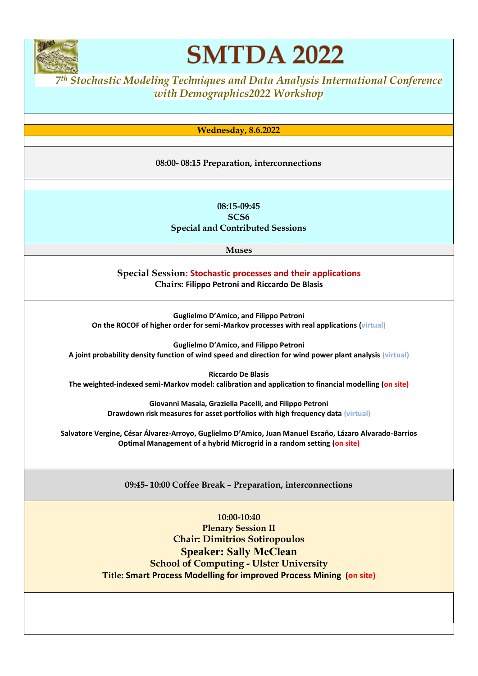

**SMTDA 2022** 

*<sup>7</sup> th Stochastic Modeling Techniques and Data Analysis International Conference with Demographics2022 Workshop*

**Wednesday, 8.6.2022**

#### **08:00- 08:15 Preparation, interconnections**

**08:15-09:45 SCS6 Special and Contributed Sessions**

**Muses**

**Special Session: Stochastic processes and their applications Chairs: Filippo Petroni and Riccardo De Blasis**

**Guglielmo D'Amico, and Filippo Petroni On the ROCOF of higher order for semi-Markov processes with real applications (virtual)**

**Guglielmo D'Amico, and Filippo Petroni A joint probability density function of wind speed and direction for wind power plant analysis (virtual)**

**Riccardo De Blasis The weighted-indexed semi-Markov model: calibration and application to financial modelling (on site)**

> **Giovanni Masala, Graziella Pacelli, and Filippo Petroni Drawdown risk measures for asset portfolios with high frequency data (virtual)**

**Salvatore Vergine, César Álvarez-Arroyo, Guglielmo D'Amico, Juan Manuel Escaño, Lázaro Alvarado-Barrios Optimal Management of a hybrid Microgrid in a random setting (on site)**

**09:45- 10:00 Coffee Break – Preparation, interconnections**

**10:00-10:40 Plenary Session II Chair: Dimitrios Sotiropoulos Speaker: Sally McClean School of Computing - Ulster University Title: Smart Process Modelling for improved Process Mining (on site)**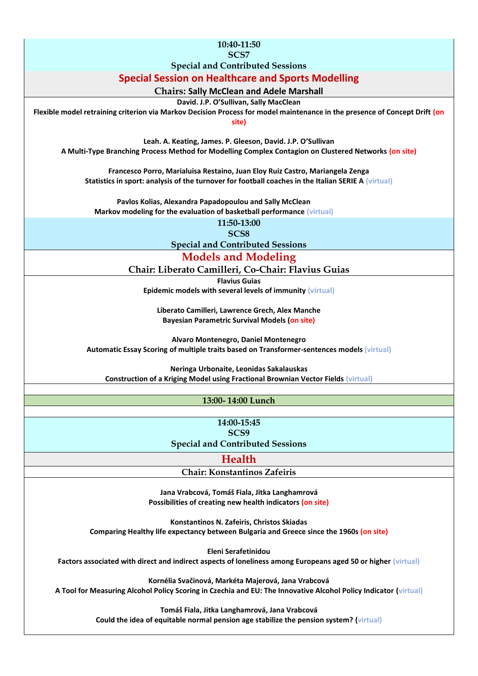| 10:40-11:50                                                                                                                |
|----------------------------------------------------------------------------------------------------------------------------|
| SCS7                                                                                                                       |
| <b>Special and Contributed Sessions</b>                                                                                    |
|                                                                                                                            |
| <b>Special Session on Healthcare and Sports Modelling</b>                                                                  |
| <b>Chairs: Sally McClean and Adele Marshall</b>                                                                            |
| David. J.P. O'Sullivan, Sally MacClean                                                                                     |
| Flexible model retraining criterion via Markov Decision Process for model maintenance in the presence of Concept Drift (on |
| site)                                                                                                                      |
|                                                                                                                            |
| Leah. A. Keating, James. P. Gleeson, David. J.P. O'Sullivan                                                                |
| A Multi-Type Branching Process Method for Modelling Complex Contagion on Clustered Networks (on site)                      |
|                                                                                                                            |
| Francesco Porro, Marialuisa Restaino, Juan Eloy Ruiz Castro, Mariangela Zenga                                              |
|                                                                                                                            |
| Statistics in sport: analysis of the turnover for football coaches in the Italian SERIE A (virtual)                        |
|                                                                                                                            |
| Pavlos Kolias, Alexandra Papadopoulou and Sally McClean                                                                    |
| Markov modeling for the evaluation of basketball performance (virtual)                                                     |
| 11:50-13:00                                                                                                                |
| SCS <sub>8</sub>                                                                                                           |
| <b>Special and Contributed Sessions</b>                                                                                    |
|                                                                                                                            |
| <b>Models and Modeling</b>                                                                                                 |
| Chair: Liberato Camilleri, Co-Chair: Flavius Guias                                                                         |
| <b>Flavius Guias</b>                                                                                                       |
| Epidemic models with several levels of immunity (virtual)                                                                  |
|                                                                                                                            |
| Liberato Camilleri, Lawrence Grech, Alex Manche                                                                            |
| <b>Bayesian Parametric Survival Models (on site)</b>                                                                       |
|                                                                                                                            |
| Alvaro Montenegro, Daniel Montenegro                                                                                       |
| Automatic Essay Scoring of multiple traits based on Transformer-sentences models (virtual)                                 |
|                                                                                                                            |
| Neringa Urbonaite, Leonidas Sakalauskas                                                                                    |
| <b>Construction of a Kriging Model using Fractional Brownian Vector Fields (virtual)</b>                                   |
|                                                                                                                            |
|                                                                                                                            |
| 13:00-14:00 Lunch                                                                                                          |
|                                                                                                                            |
| 14:00-15:45                                                                                                                |
| SCS9                                                                                                                       |
| <b>Special and Contributed Sessions</b>                                                                                    |
|                                                                                                                            |
|                                                                                                                            |
| <b>Health</b>                                                                                                              |
| <b>Chair: Konstantinos Zafeiris</b>                                                                                        |
|                                                                                                                            |
| Jana Vrabcová, Tomáš Fiala, Jitka Langhamrová                                                                              |
|                                                                                                                            |
| Possibilities of creating new health indicators (on site)                                                                  |
|                                                                                                                            |
| Konstantinos N. Zafeiris, Christos Skiadas                                                                                 |
| Comparing Healthy life expectancy between Bulgaria and Greece since the 1960s (on site)                                    |
| Eleni Serafetinidou                                                                                                        |
|                                                                                                                            |
| Factors associated with direct and indirect aspects of loneliness among Europeans aged 50 or higher (virtual)              |
|                                                                                                                            |
| Kornélia Svačinová, Markéta Majerová, Jana Vrabcová                                                                        |
| A Tool for Measuring Alcohol Policy Scoring in Czechia and EU: The Innovative Alcohol Policy Indicator (virtual)           |
|                                                                                                                            |
| Tomáš Fiala, Jitka Langhamrová, Jana Vrabcová                                                                              |
| Could the idea of equitable normal pension age stabilize the pension system? (virtual)                                     |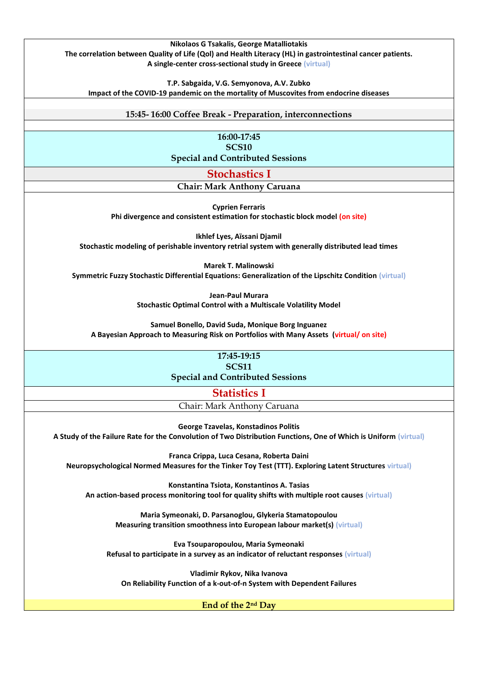

**Vladimir Rykov, Nika Ivanova On Reliability Function of a k-out-of-n System with Dependent Failures**

#### **End of the 2nd Day**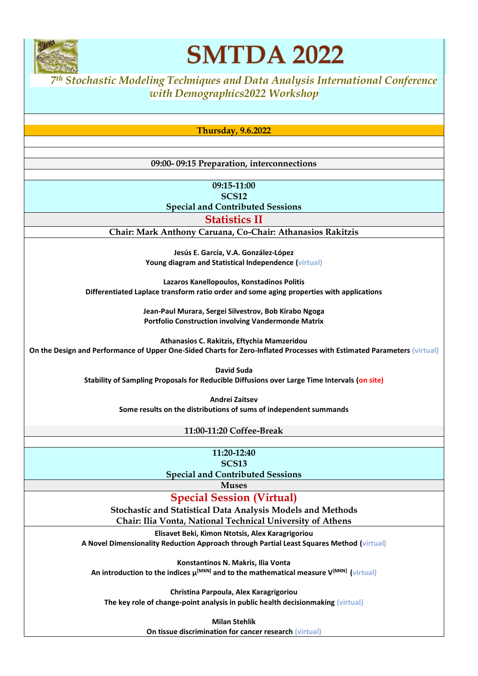

**SMTDA 2022** 

*<sup>7</sup> th Stochastic Modeling Techniques and Data Analysis International Conference with Demographics2022 Workshop*

**Thursday, 9.6.2022**

#### **09:00- 09:15 Preparation, interconnections**

**09:15-11:00 SCS12**

**Special and Contributed Sessions**

**Statistics II**

**Chair: Mark Anthony Caruana, Co-Chair: Athanasios Rakitzis**

**Jesús E. García, V.A. González-López Young diagram and Statistical Independence (virtual)**

**Lazaros Kanellopoulos, Konstadinos Politis Differentiated Laplace transform ratio order and some aging properties with applications**

> **Jean-Paul Murara, Sergei Silvestrov, Bob Kirabo Ngoga Portfolio Construction involving Vandermonde Matrix**

**Athanasios C. Rakitzis, Eftychia Mamzeridou On the Design and Performance of Upper One-Sided Charts for Zero-Inflated Processes with Estimated Parameters (virtual)**

**David Suda**

**Stability of Sampling Proposals for Reducible Diffusions over Large Time Intervals (on site)**

**Andrei Zaitsev**

**Some results on the distributions of sums of independent summands**

**11:00-11:20 Coffee-Break**

**11:20-12:40**

**SCS13 Special and Contributed Sessions**

**Muses**

**Special Session (Virtual)**

**Stochastic and Statistical Data Analysis Models and Methods Chair: Ilia Vonta, National Technical University of Athens**

**Elisavet Beki, Kimon Ntotsis, Alex Karagrigoriou A Novel Dimensionality Reduction Approach through Partial Least Squares Method (virtual)**

**Konstantinos N. Makris, Ilia Vonta An introduction to the indices μ[MKN] and to the mathematical measure V[MKN] (virtual)**

**Christina Parpoula, Alex Karagrigoriou The key role of change-point analysis in public health decisionmaking (virtual)**

> **Milan Stehlík On tissue discrimination for cancer research (virtual)**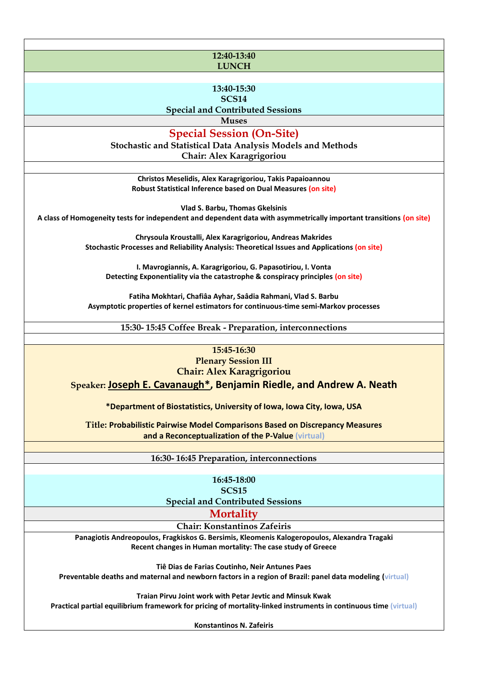#### **12:40-13:40 LUNCH**

**13:40-15:30**

**SCS14**

**Special and Contributed Sessions**

**Muses**

**Special Session (On-Site)**

**Stochastic and Statistical Data Analysis Models and Methods Chair: Alex Karagrigoriou**

**Christos Meselidis, Alex Karagrigoriou, Takis Papaioannou Robust Statistical Inference based on Dual Measures (on site)**

**Vlad S. Barbu, Thomas Gkelsinis A class of Homogeneity tests for independent and dependent data with asymmetrically important transitions (on site)**

> **Chrysoula Kroustalli, Alex Karagrigoriou, Andreas Makrides Stochastic Processes and Reliability Analysis: Theoretical Issues and Applications (on site)**

**I. Mavrogiannis, A. Karagrigoriou, G. Papasotiriou, I. Vonta Detecting Exponentiality via the catastrophe & conspiracy principles (on site)**

**Fatiha Mokhtari, Chafiâa Ayhar, Saâdia Rahmani, Vlad S. Barbu Asymptotic properties of kernel estimators for continuous-time semi-Markov processes**

**15:30- 15:45 Coffee Break - Preparation, interconnections**

**15:45-16:30**

**Plenary Session III**

**Chair: Alex Karagrigoriou**

**Speaker: Joseph E. Cavanaugh\*, Benjamin Riedle, and Andrew A. Neath**

**\*Department of Biostatistics, University of Iowa, Iowa City, Iowa, USA**

**Title: Probabilistic Pairwise Model Comparisons Based on Discrepancy Measures and a Reconceptualization of the P-Value (virtual)**

**16:30- 16:45 Preparation, interconnections**

**16:45-18:00 SCS15**

**Special and Contributed Sessions**

**Mortality**

**Chair: Konstantinos Zafeiris**

**Panagiotis Andreopoulos, Fragkiskos G. Bersimis, Kleomenis Kalogeropoulos, Alexandra Tragaki Recent changes in Human mortality: The case study of Greece**

**Tiê Dias de Farias Coutinho, Neir Antunes Paes**

**Preventable deaths and maternal and newborn factors in a region of Brazil: panel data modeling (virtual)** 

**Traian Pirvu Joint work with Petar Jevtic and Minsuk Kwak**

**Practical partial equilibrium framework for pricing of mortality-linked instruments in continuous time (virtual)**

**Konstantinos N. Zafeiris**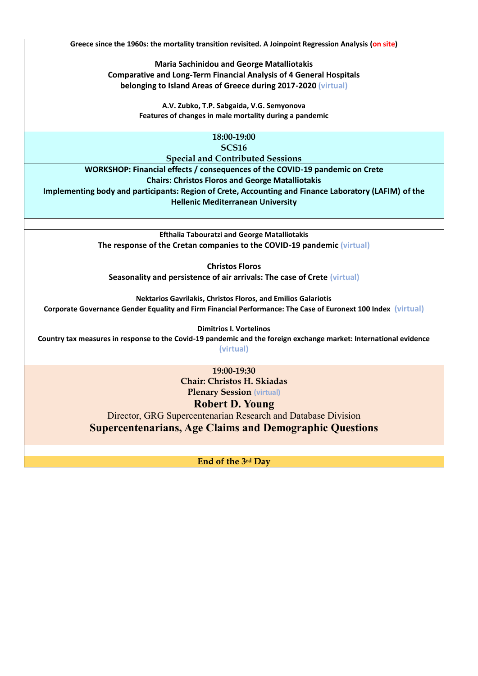**Greece since the 1960s: the mortality transition revisited. A Joinpoint Regression Analysis (on site)**

**Maria Sachinidou and George Matalliotakis Comparative and Long-Term Financial Analysis of 4 General Hospitals belonging to Island Areas of Greece during 2017-2020 (virtual)**

> **A.V. Zubko, T.P. Sabgaida, V.G. Semyonova Features of changes in male mortality during a pandemic**

> > **18:00-19:00 SCS16**

**Special and Contributed Sessions**

**WORKSHOP: Financial effects / consequences of the COVID-19 pandemic on Crete Chairs: Christos Floros and George Matalliotakis Implementing body and participants: Region of Crete, Accounting and Finance Laboratory (LAFIM) of the Hellenic Mediterranean University**

> **Efthalia Tabouratzi and George Matalliotakis The response of the Cretan companies to the COVID-19 pandemic (virtual)**

**Christos Floros Seasonality and persistence of air arrivals: The case of Crete (virtual)**

**Nektarios Gavrilakis, Christos Floros, and Emilios Galariotis Corporate Governance Gender Equality and Firm Financial Performance: The Case of Euronext 100 Index (virtual)**

**Dimitrios I. Vortelinos Country tax measures in response to the Covid-19 pandemic and the foreign exchange market: International evidence (virtual)**

> **19:00-19:30 Chair: Christos H. Skiadas Plenary Session (virtual)**

## **Robert D. Young**

Director, GRG Supercentenarian Research and Database Division **Supercentenarians, Age Claims and Demographic Questions**

**End of the 3rd Day**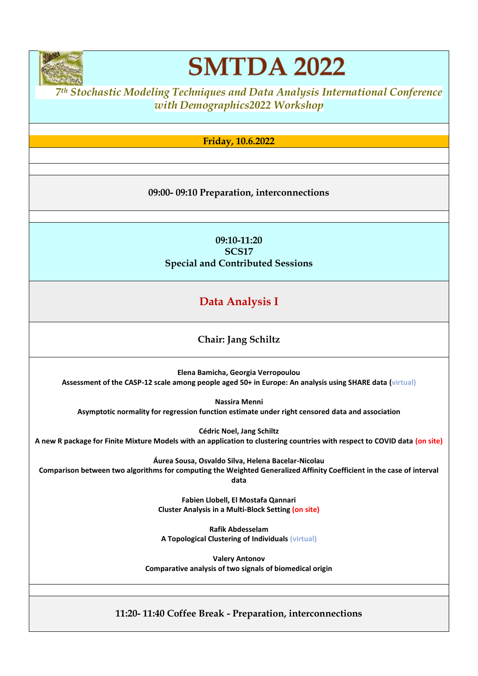

**SMTDA 2022** 

*<sup>7</sup> th Stochastic Modeling Techniques and Data Analysis International Conference with Demographics2022 Workshop*

**Friday, 10.6.2022**

### **09:00- 09:10 Preparation, interconnections**

**09:10-11:20 SCS17 Special and Contributed Sessions**

# **Data Analysis I**

## **Chair: Jang Schiltz**

**Elena Bamicha, Georgia Verropoulou Assessment of the CASP-12 scale among people aged 50+ in Europe: An analysis using SHARE data (virtual)**

**Nassira Menni Asymptotic normality for regression function estimate under right censored data and association**

**Cédric Noel, Jang Schiltz A new R package for Finite Mixture Models with an application to clustering countries with respect to COVID data (on site)**

**Áurea Sousa, Osvaldo Silva, Helena Bacelar-Nicolau**

**Comparison between two algorithms for computing the Weighted Generalized Affinity Coefficient in the case of interval data**

> **Fabien Llobell, El Mostafa Qannari Cluster Analysis in a Multi-Block Setting (on site)**

**Rafik Abdesselam A Topological Clustering of Individuals (virtual)**

**Valery Antonov Comparative analysis of two signals of biomedical origin**

**11:20- 11:40 Coffee Break - Preparation, interconnections**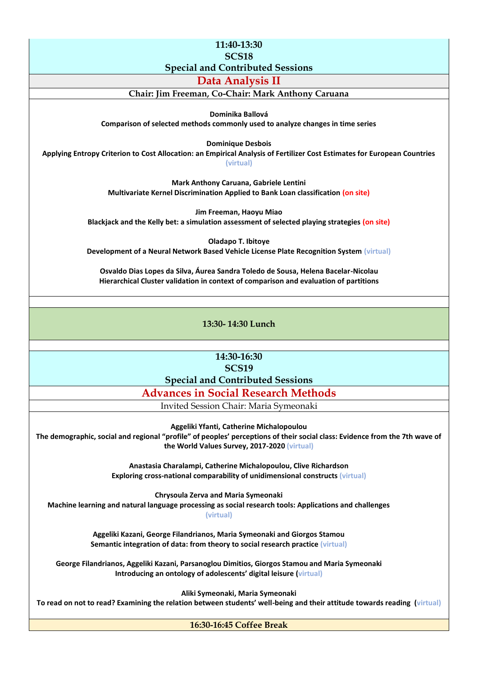**11:40-13:30 SCS18 Special and Contributed Sessions**

**Data Analysis II**

**Chair: Jim Freeman, Co-Chair: Mark Anthony Caruana**

**Dominika Ballová**

**Comparison of selected methods commonly used to analyze changes in time series**

**Dominique Desbois**

**Applying Entropy Criterion to Cost Allocation: an Empirical Analysis of Fertilizer Cost Estimates for European Countries**

**(virtual)**

**Mark Anthony Caruana, Gabriele Lentini Multivariate Kernel Discrimination Applied to Bank Loan classification (on site)**

**Jim Freeman, Haoyu Miao Blackjack and the Kelly bet: a simulation assessment of selected playing strategies (on site)**

**Oladapo T. Ibitoye Development of a Neural Network Based Vehicle License Plate Recognition System (virtual)**

**Osvaldo Dias Lopes da Silva, Áurea Sandra Toledo de Sousa, Helena Bacelar-Nicolau Hierarchical Cluster validation in context of comparison and evaluation of partitions**

**13:30- 14:30 Lunch**

**14:30-16:30 SCS19 Special and Contributed Sessions**

**Advances in Social Research Methods**

Invited Session Chair: Maria Symeonaki

**Aggeliki Yfanti, Catherine Michalopoulou**

**The demographic, social and regional "profile" of peoples' perceptions of their social class: Evidence from the 7th wave of the World Values Survey, 2017-2020 (virtual)**

> **Anastasia Charalampi, Catherine Michalopoulou, Clive Richardson Exploring cross-national comparability of unidimensional constructs (virtual)**

**Chrysoula Zerva and Maria Symeonaki Machine learning and natural language processing as social research tools: Applications and challenges (virtual)**

> **Aggeliki Kazani, George Filandrianos, Maria Symeonaki and Giorgos Stamou Semantic integration of data: from theory to social research practice (virtual)**

**George Filandrianos, Aggeliki Kazani, Parsanoglou Dimitios, Giorgos Stamou and Maria Symeonaki Introducing an ontology of adolescents' digital leisure (virtual)**

**Aliki Symeonaki, Maria Symeonaki To read on not to read? Examining the relation between students' well-being and their attitude towards reading (virtual)**

**16:30-16:45 Coffee Break**